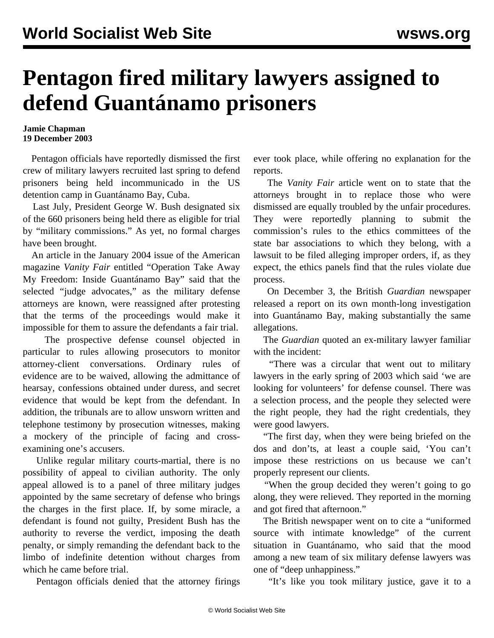## **Pentagon fired military lawyers assigned to defend Guantánamo prisoners**

## **Jamie Chapman 19 December 2003**

 Pentagon officials have reportedly dismissed the first crew of military lawyers recruited last spring to defend prisoners being held incommunicado in the US detention camp in Guantánamo Bay, Cuba.

 Last July, President George W. Bush designated six of the 660 prisoners being held there as eligible for trial by "military commissions." As yet, no formal charges have been brought.

 An article in the January 2004 issue of the American magazine *Vanity Fair* entitled "Operation Take Away My Freedom: Inside Guantánamo Bay" said that the selected "judge advocates," as the military defense attorneys are known, were reassigned after protesting that the terms of the proceedings would make it impossible for them to assure the defendants a fair trial.

 The prospective defense counsel objected in particular to rules allowing prosecutors to monitor attorney-client conversations. Ordinary rules of evidence are to be waived, allowing the admittance of hearsay, confessions obtained under duress, and secret evidence that would be kept from the defendant. In addition, the tribunals are to allow unsworn written and telephone testimony by prosecution witnesses, making a mockery of the principle of facing and crossexamining one's accusers.

 Unlike regular military courts-martial, there is no possibility of appeal to civilian authority. The only appeal allowed is to a panel of three military judges appointed by the same secretary of defense who brings the charges in the first place. If, by some miracle, a defendant is found not guilty, President Bush has the authority to reverse the verdict, imposing the death penalty, or simply remanding the defendant back to the limbo of indefinite detention without charges from which he came before trial.

Pentagon officials denied that the attorney firings

ever took place, while offering no explanation for the reports.

 The *Vanity Fair* article went on to state that the attorneys brought in to replace those who were dismissed are equally troubled by the unfair procedures. They were reportedly planning to submit the commission's rules to the ethics committees of the state bar associations to which they belong, with a lawsuit to be filed alleging improper orders, if, as they expect, the ethics panels find that the rules violate due process.

 On December 3, the British *Guardian* newspaper released a report on its own month-long investigation into Guantánamo Bay, making substantially the same allegations.

 The *Guardian* quoted an ex-military lawyer familiar with the incident:

 "There was a circular that went out to military lawyers in the early spring of 2003 which said 'we are looking for volunteers' for defense counsel. There was a selection process, and the people they selected were the right people, they had the right credentials, they were good lawyers.

 "The first day, when they were being briefed on the dos and don'ts, at least a couple said, 'You can't impose these restrictions on us because we can't properly represent our clients.

 "When the group decided they weren't going to go along, they were relieved. They reported in the morning and got fired that afternoon."

 The British newspaper went on to cite a "uniformed source with intimate knowledge" of the current situation in Guantánamo, who said that the mood among a new team of six military defense lawyers was one of "deep unhappiness."

"It's like you took military justice, gave it to a